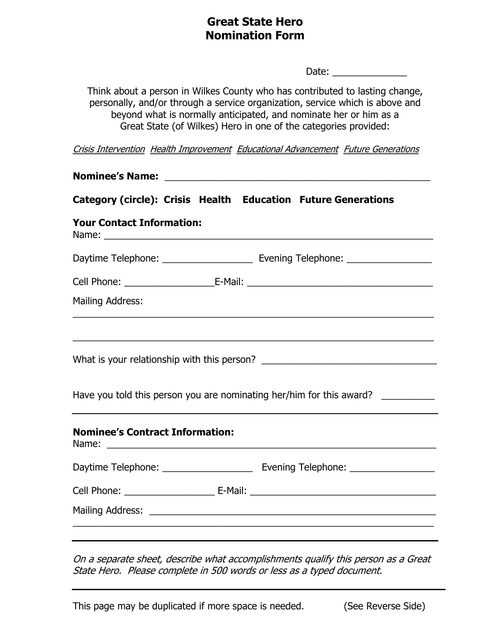## Great State Hero Nomination Form

Date: \_\_\_\_\_\_\_\_\_\_\_\_\_\_

Think about a person in Wilkes County who has contributed to lasting change, personally, and/or through a service organization, service which is above and beyond what is normally anticipated, and nominate her or him as a Great State (of Wilkes) Hero in one of the categories provided:

Crisis Intervention Health Improvement Educational Advancement Future Generations

| Category (circle): Crisis Health Education Future Generations<br><b>Your Contact Information:</b> |                                        |
|---------------------------------------------------------------------------------------------------|----------------------------------------|
|                                                                                                   |                                        |
|                                                                                                   |                                        |
|                                                                                                   |                                        |
| Have you told this person you are nominating her/him for this award?                              |                                        |
|                                                                                                   | Mailing Address:                       |
|                                                                                                   |                                        |
|                                                                                                   |                                        |
|                                                                                                   |                                        |
|                                                                                                   | <b>Nominee's Contract Information:</b> |
|                                                                                                   |                                        |
|                                                                                                   |                                        |
|                                                                                                   |                                        |

On a separate sheet, describe what accomplishments qualify this person as a Great State Hero. Please complete in 500 words or less as a typed document.